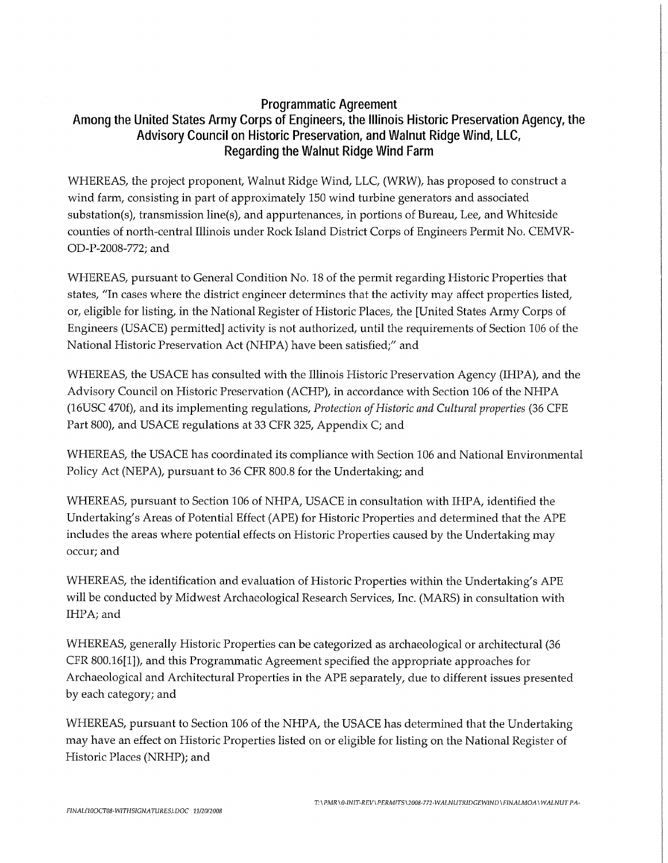# **Programmatic Agreement Among the United States Army Corps of Engineers, the Illinois Historic Preservation Agency, the Advisory Council on Historic Preservation, and Walnut Ridge Wind, LLC, Regarding the Walnut Ridge Wind Farm**

WHEREAS, the project proponent, Walnut Ridge Wind, LLC, (WRW), has proposed to construct a wind farm, consisting in part of approximately 150 wind turbine generators and associated substation(s), transmission line(s), and appurtenances, in portions of Bureau, Lee, and Whiteside counties of north-central Illinois under Rock Island District Corps of Engineers Permit No. CEMVR-OD-P-2008-772; and

WHEREAS, pursuant to General Condition No. 18 of the permit regarding Historic Properties that states, "In cases where the district engineer determines that the activity may affect properties listed, or, eligible for listing, in the National Register of Historic Places, the [United States Army Corps of Engineers (USACE) permitted] activity is not authorized, until the requirements of Section 106 of the National Historic Preservation Act (NHPA) have been satisfied;" and

WHEREAS, the USACE has consulted with the Illinois Historic Preservation Agency (IHPA), and the Advisory Council on Historic Preservation (ACHP), in accordance with Section 106 of the NHP A (16USC 470f), and its implementing regulations, *Protection of Historic and Cultural properties* (36 CFE Part 800), and USACE regulations at 33 CFR 325, Appendix C; and

WHEREAS, the USACE has coordinated its compliance with Section 106 and National Environmental Policy Act (NEPA), pursuant to 36 CFR 800.8 for the Undertaking; and

WHEREAS, pursuant to Section 106 of NHPA, USACE in consultation with IHPA, identified the Undertaking's Areas of Potential Effect (APE) for Historic Properties and determined that the APE includes the areas where potential effects on Historic Properties caused by the Undertaking may occur; and

WHEREAS, the identification and evaluation of Historic Properties within the Undertaking's APE will be conducted by Midwest Archaeological Research Services, Inc. (MARS) in consultation with IHPA; and

WHEREAS, generally Historic Properties can be categorized as archaeological or architectural (36 CFR 800.16[1]), and this Programmatic Agreement specified the appropriate approaches for Archaeological and Architectural Properties in the APE separately, due to different issues presented by each category; and

WHEREAS, pursuant to Section 106 of the NHPA, the USACE has determined that the Undertaking may have an effect on Historic Properties listed on or eligible for listing on the National Register of Historic Places (NRHP); and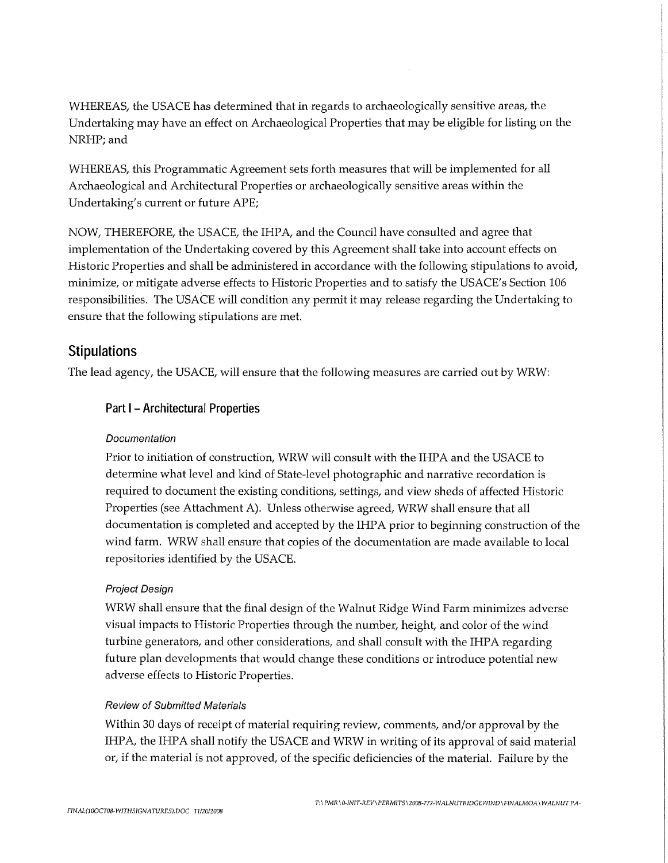WHEREAS, the USACE has determined that in regards to archaeologically sensitive areas, the Undertaking may have an effect on Archaeological Properties that may be eligible for listing on the NRHP; and

WHEREAS, this Programmatic Agreement sets forth measures that will be implemented for all Archaeological and Architectural Properties or archaeologically sensitive areas within the Undertaking's current or future APE;

NOW, THEREFORE, the USACE, the IHPA, and the Council have consulted and agree that implementation of the Undertaking covered by this Agreement shall take into account effects on Historic Properties and shall be administered in accordance with the following stipulations to avoid, minimize, or mitigate adverse effects to Historic Properties and to satisfy the USACE's Section 106 responsibilities. The USACE will condition any permit it may release regarding the Undertaking to ensure that the following stipulations are met.

# **Stipulations**

The lead agency, the USACE, will ensure that the following measures are carried out by WRW:

## **Part** I - **Architectural Properties**

#### Documentation

Prior to initiation of construction, WRW will consult with the IHPA and the USACE to determine what level and kind of State-level photographic and narrative recordation is required to document the existing conditions, settings, and view sheds of affected Historic Properties (see Attachment A). Unless otherwise agreed, WRW shall ensure that all documentation is completed and accepted by the IHPA prior to beginning construction of the wind farm. WRW shall ensure that copies of the documentation are made available to local repositories identified by the USACE.

## Project Design

WRW shall ensure that the final design of the Walnut Ridge Wind Farm minimizes adverse visual impacts to Historic Properties through the number, height, and color of the wind turbine generators, and other considerations, and shall consult with the IHPA regarding future plan developments that would change these conditions or introduce potential new adverse effects to Historic Properties.

#### Review of Submitted Materials

Within 30 days of receipt of material requiring review, comments, and/or approval by the IHPA, the IHPA shall notify the USACE and WRW in writing of its approval of said material or, if the material is not approved, of the specific deficiencies of the material. Failure by the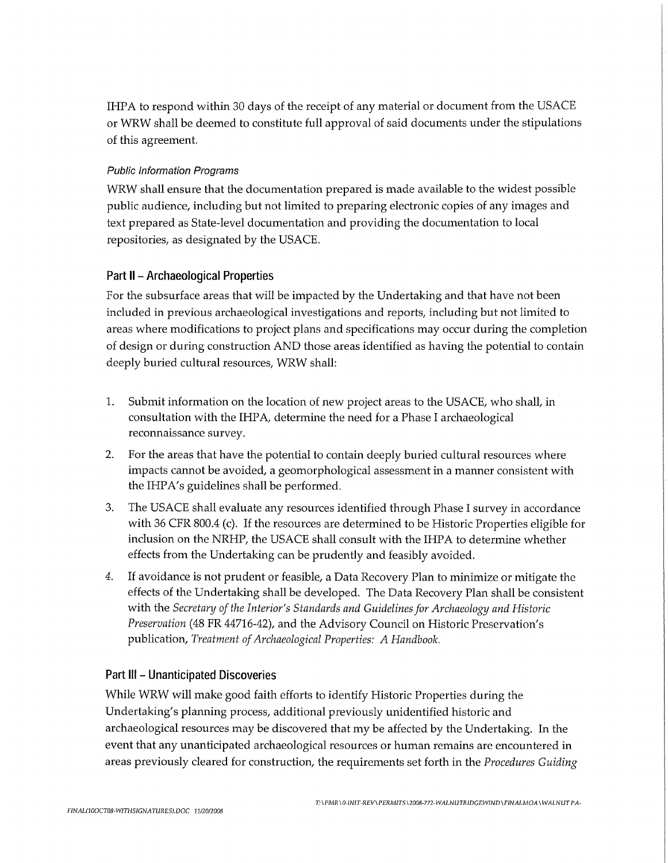IHPA to respond within 30 days of the receipt of any material or document from the USACE or WRW shall be deemed to constitute full approval of said documents under the stipulations of this agreement.

#### Public Information Programs

WRW shall ensure that the documentation prepared is made available to the widest possible public audience, including but not limited to preparing electronic copies of any images and text prepared as State-level documentation and providing the documentation to local repositories, as designated by the USACE.

# **Part** II - **Archaeological Properties**

For the subsurface areas that will be impacted by the Undertaking and that have not been included in previous archaeological investigations and reports, including but not limited to areas where modifications to project plans and specifications may occur during the completion of design or during construction AND those areas identified as having the potential to contain deeply buried cultural resources, WRW shall:

- 1. Submit information on the location of new project areas to the USACE, who shall, in consultation with the IHPA, determine the need for a Phase I archaeological reconnaissance survey.
- 2. For the areas that have the potential to contain deeply buried cultural resources where impacts cannot be avoided, a geomorphological assessment in a manner consistent with the IHPA's guidelines shall be performed.
- 3. The USACE shall evaluate any resources identified through Phase I survey in accordance with 36 CFR 800.4 (c). If the resources are determined to be Historic Properties eligible for inclusion on the NRHP, the USACE shall consult with the IHPA to determine whether effects from the Undertaking can be prudently and feasibly avoided.
- *4.* If avoidance is not prudent or feasible, a Data Recovery Plan to minimize or mitigate the effects of the Undertaking shall be developed. The Data Recovery Plan shall be consistent with the *Secretary of the Interior's Standards and Guidelines for Archaeology and Historic Preservation* (48 FR 44716-42), and the Advisory Council on Historic Preservation's publication, *Treatment of Archaeological Properties: A Handbook.*

## **Part** Ill - **Unanticipated Discoveries**

While WRW will make good faith efforts to identify Historic Properties during the Undertaking's planning process, additional previously unidentified historic and archaeological resources may be discovered that my be affected by the Undertaking. In the event that any unanticipated archaeological resources or human remains are encountered in areas previously cleared for construction, the requirements set forth in the *Procedures Guiding*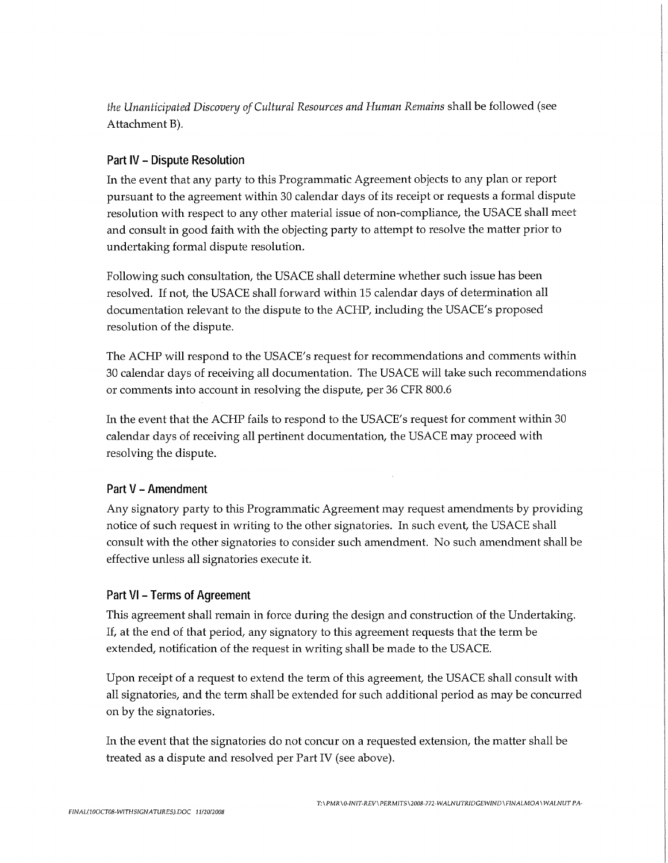*the Unanticipated Discovery of Cultural Resources and Human Remains* shall be followed (see Attachment B).

#### **Part IV - Dispute Resolution**

**In** the event that any party to this Programmatic Agreement objects to any plan or report pursuant to the agreement within 30 calendar days of its receipt or requests a formal dispute resolution with respect to any other material issue of non-compliance, the USACE shall meet and consult in good faith with the objecting party to attempt to resolve the matter prior to undertaking formal dispute resolution.

Following such consultation, the USACE shall determine whether such issue has been resolved. If not, the USACE shall forward within 15 calendar days of determination all documentation relevant to the dispute to the ACHP, including the USACE's proposed resolution of the dispute.

The ACHP will respond to the USACE's request for recommendations and comments within 30 calendar days of receiving all documentation. The USACE will take such recommendations or comments into account **in** resolving the dispute, per 36 CFR 800.6

In the event that the ACHP fails to respond to the USACE's request for comment within 30 calendar days of receiving all pertinent documentation, the USACE may proceed with resolving the dispute.

#### **Part V - Amendment**

Any signatory party to this Programmatic Agreement may request amendments by providing notice of such request in writing to the other signatories. In such event, the USACE shall consult with the other signatories to consider such amendment. No such amendment shall be effective unless all signatories execute it.

## **Part VI - Terms of Agreement**

This agreement shall remain in force during the design and construction of the Undertaking. If, at the end of that period, any signatory to this agreement requests that the term be extended, notification of the request in writing shall be made to the USACE.

Upon receipt of a request to extend the term of this agreement, the USACE shall consult with all signatories, and the term shall be extended for such additional period as may be concurred on by the signatories.

In the event that the signatories do not concur on a requested extension, the matter shall be treated as a dispute and resolved per Part IV (see above).